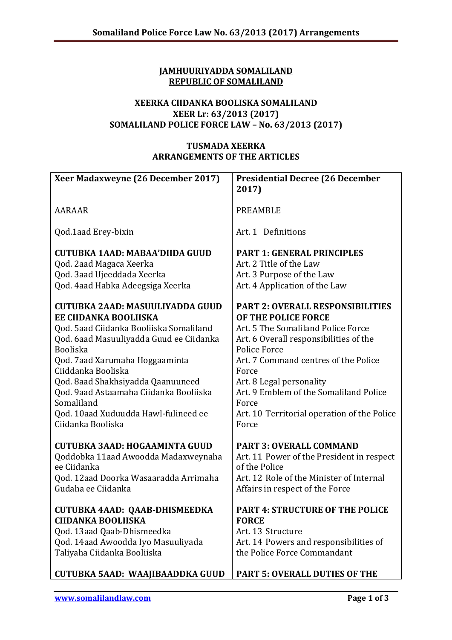## **JAMHUURIYADDA SOMALILAND REPUBLIC OF SOMALILAND**

## **XEERKA CIIDANKA BOOLISKA SOMALILAND XEER Lr: 63/2013 (2017) SOMALILAND POLICE FORCE LAW – No. 63/2013 (2017)**

## **TUSMADA XEERKA ARRANGEMENTS OF THE ARTICLES**

| Xeer Madaxweyne (26 December 2017)      | <b>Presidential Decree (26 December</b>     |
|-----------------------------------------|---------------------------------------------|
|                                         | 2017)                                       |
|                                         |                                             |
| <b>AARAAR</b>                           | <b>PREAMBLE</b>                             |
|                                         |                                             |
| Qod.1aad Erey-bixin                     | Art. 1 Definitions                          |
| CUTUBKA 1AAD: MABAA'DIIDA GUUD          | <b>PART 1: GENERAL PRINCIPLES</b>           |
| Qod. 2aad Magaca Xeerka                 | Art. 2 Title of the Law                     |
| Qod. 3aad Ujeeddada Xeerka              | Art. 3 Purpose of the Law                   |
| Qod. 4aad Habka Adeegsiga Xeerka        | Art. 4 Application of the Law               |
|                                         |                                             |
| CUTUBKA 2AAD: MASUULIYADDA GUUD         | <b>PART 2: OVERALL RESPONSIBILITIES</b>     |
| EE CIIDANKA BOOLIISKA                   | OF THE POLICE FORCE                         |
| Qod. 5aad Ciidanka Booliiska Somaliland | Art. 5 The Somaliland Police Force          |
| Qod. 6aad Masuuliyadda Guud ee Ciidanka | Art. 6 Overall responsibilities of the      |
| <b>Booliska</b>                         | Police Force                                |
| Qod. 7aad Xarumaha Hoggaaminta          | Art. 7 Command centres of the Police        |
| Ciiddanka Booliska                      | Force                                       |
| Qod. 8aad Shakhsiyadda Qaanuuneed       | Art. 8 Legal personality                    |
| Qod. 9aad Astaamaha Ciidanka Booliiska  | Art. 9 Emblem of the Somaliland Police      |
| Somaliland                              | Force                                       |
| Qod. 10aad Xuduudda Hawl-fulineed ee    | Art. 10 Territorial operation of the Police |
| Ciidanka Booliska                       | Force                                       |
| CUTUBKA 3AAD: HOGAAMINTA GUUD           | <b>PART 3: OVERALL COMMAND</b>              |
| Qoddobka 11aad Awoodda Madaxweynaha     | Art. 11 Power of the President in respect   |
| ee Ciidanka                             | of the Police                               |
| Qod. 12aad Doorka Wasaaradda Arrimaha   | Art. 12 Role of the Minister of Internal    |
| Gudaha ee Ciidanka                      | Affairs in respect of the Force             |
|                                         |                                             |
| CUTUBKA 4AAD: QAAB-DHISMEEDKA           | <b>PART 4: STRUCTURE OF THE POLICE</b>      |
| <b>CIIDANKA BOOLIISKA</b>               | <b>FORCE</b>                                |
| Qod. 13aad Qaab-Dhismeedka              | Art. 13 Structure                           |
| Qod. 14aad Awoodda Iyo Masuuliyada      | Art. 14 Powers and responsibilities of      |
| Taliyaha Ciidanka Booliiska             | the Police Force Commandant                 |
|                                         |                                             |
| CUTUBKA 5AAD: WAAJIBAADDKA GUUD         | <b>PART 5: OVERALL DUTIES OF THE</b>        |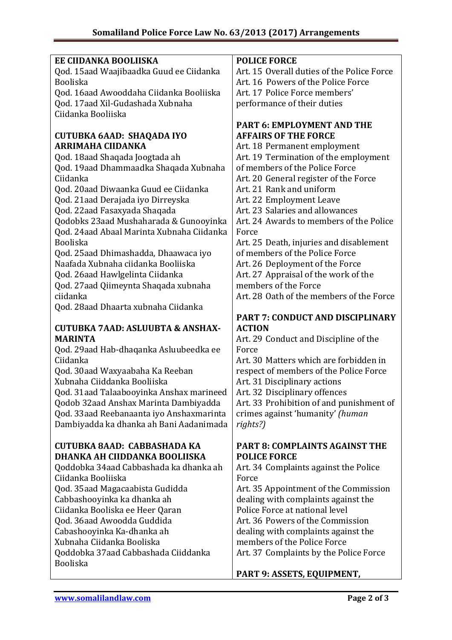| EE CIIDANKA BOOLIISKA                                  | <b>POLICE FORCE</b>                        |
|--------------------------------------------------------|--------------------------------------------|
| Qod. 15aad Waajibaadka Guud ee Ciidanka                | Art. 15 Overall duties of the Police Force |
| <b>Booliska</b>                                        | Art. 16 Powers of the Police Force         |
|                                                        |                                            |
| Qod. 16aad Awooddaha Ciidanka Booliiska                | Art. 17 Police Force members'              |
| Qod. 17aad Xil-Gudashada Xubnaha                       | performance of their duties                |
| Ciidanka Booliiska                                     |                                            |
|                                                        | <b>PART 6: EMPLOYMENT AND THE</b>          |
|                                                        | <b>AFFAIRS OF THE FORCE</b>                |
| <b>CUTUBKA 6AAD: SHAQADA IYO</b>                       |                                            |
| ARRIMAHA CIIDANKA                                      | Art. 18 Permanent employment               |
| Qod. 18aad Shaqada Joogtada ah                         | Art. 19 Termination of the employment      |
| Qod. 19aad Dhammaadka Shaqada Xubnaha                  | of members of the Police Force             |
| Ciidanka                                               | Art. 20 General register of the Force      |
|                                                        | Art. 21 Rank and uniform                   |
| Qod. 20aad Diwaanka Guud ee Ciidanka                   |                                            |
| Qod. 21aad Derajada iyo Dirreyska                      | Art. 22 Employment Leave                   |
| Qod. 22aad Fasaxyada Shaqada                           | Art. 23 Salaries and allowances            |
| Qodobks 23aad Mushaharada & Gunooyinka                 | Art. 24 Awards to members of the Police    |
| Qod. 24aad Abaal Marinta Xubnaha Ciidanka              | Force                                      |
| <b>Booliska</b>                                        | Art. 25 Death, injuries and disablement    |
| Qod. 25aad Dhimashadda, Dhaawaca iyo                   | of members of the Police Force             |
| Naafada Xubnaha ciidanka Booliiska                     | Art. 26 Deployment of the Force            |
| Qod. 26aad Hawlgelinta Ciidanka                        | Art. 27 Appraisal of the work of the       |
|                                                        |                                            |
| Qod. 27aad Qiimeynta Shaqada xubnaha                   | members of the Force                       |
| ciidanka                                               | Art. 28 Oath of the members of the Force   |
| Qod. 28aad Dhaarta xubnaha Ciidanka                    |                                            |
|                                                        | PART 7: CONDUCT AND DISCIPLINARY           |
|                                                        |                                            |
|                                                        | <b>ACTION</b>                              |
| <b>CUTUBKA 7AAD: ASLUUBTA &amp; ANSHAX-</b>            |                                            |
| <b>MARINTA</b>                                         | Art. 29 Conduct and Discipline of the      |
| Qod. 29aad Hab-dhaqanka Asluubeedka ee                 | Force                                      |
| Ciidanka                                               | Art. 30 Matters which are forbidden in     |
| Qod. 30aad Waxyaabaha Ka Reeban                        | respect of members of the Police Force     |
| Xubnaha Ciiddanka Booliiska                            | Art. 31 Disciplinary actions               |
| Qod. 31aad Talaabooyinka Anshax marineed               | Art. 32 Disciplinary offences              |
| Qodob 32aad Anshax Marinta Dambiyadda                  | Art. 33 Prohibition of and punishment of   |
|                                                        |                                            |
| Qod. 33aad Reebanaanta iyo Anshaxmarinta               | crimes against 'humanity' (human           |
| Dambiyadda ka dhanka ah Bani Aadanimada                | rights?)                                   |
|                                                        |                                            |
| CUTUBKA 8AAD: CABBASHADA KA                            | <b>PART 8: COMPLAINTS AGAINST THE</b>      |
| DHANKA AH CIIDDANKA BOOLIISKA                          | <b>POLICE FORCE</b>                        |
| Qoddobka 34aad Cabbashada ka dhanka ah                 | Art. 34 Complaints against the Police      |
| Ciidanka Booliiska                                     | Force                                      |
| Qod. 35aad Magacaabista Gudidda                        | Art. 35 Appointment of the Commission      |
| Cabbashooyinka ka dhanka ah                            | dealing with complaints against the        |
| Ciidanka Booliska ee Heer Qaran                        | Police Force at national level             |
|                                                        | Art. 36 Powers of the Commission           |
| Qod. 36aad Awoodda Guddida                             |                                            |
| Cabashooyinka Ka-dhanka ah                             | dealing with complaints against the        |
| Xubnaha Ciidanka Booliska                              | members of the Police Force                |
| Qoddobka 37aad Cabbashada Ciiddanka<br><b>Booliska</b> | Art. 37 Complaints by the Police Force     |

## **PART 9: ASSETS, EQUIPMENT,**